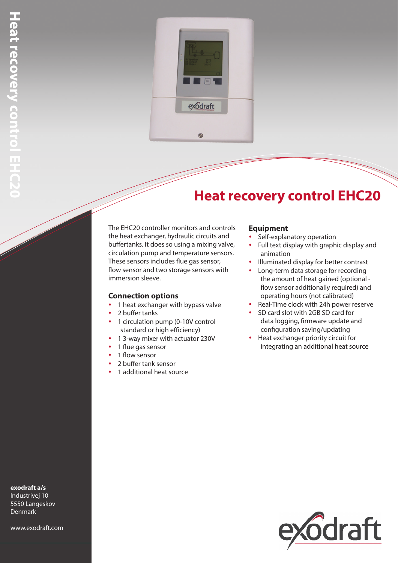

## **Heat recovery control EHC20**

The EHC20 controller monitors and controls the heat exchanger, hydraulic circuits and buffertanks. It does so using a mixing valve, circulation pump and temperature sensors. These sensors includes flue gas sensor, flow sensor and two storage sensors with immersion sleeve.

## **Connection options**

- 1 heat exchanger with bypass valve
- y 2 buffer tanks
- 1 circulation pump (0-10V control standard or high efficiency)
- 1 3-way mixer with actuator 230V
- 1 flue gas sensor
- 1 flow sensor
- 2 buffer tank sensor
- 1 additional heat source

## **Equipment**

- Self-explanatory operation
- Full text display with graphic display and animation
- Illuminated display for better contrast
- Long-term data storage for recording the amount of heat gained (optional flow sensor additionally required) and operating hours (not calibrated)
- Real-Time clock with 24h power reserve
- SD card slot with 2GB SD card for data logging, firmware update and configuration saving/updating
- Heat exchanger priority circuit for integrating an additional heat source



**exodraft a/s**

Industrivej 10 5550 Langeskov Denmark

www.exodraft.com